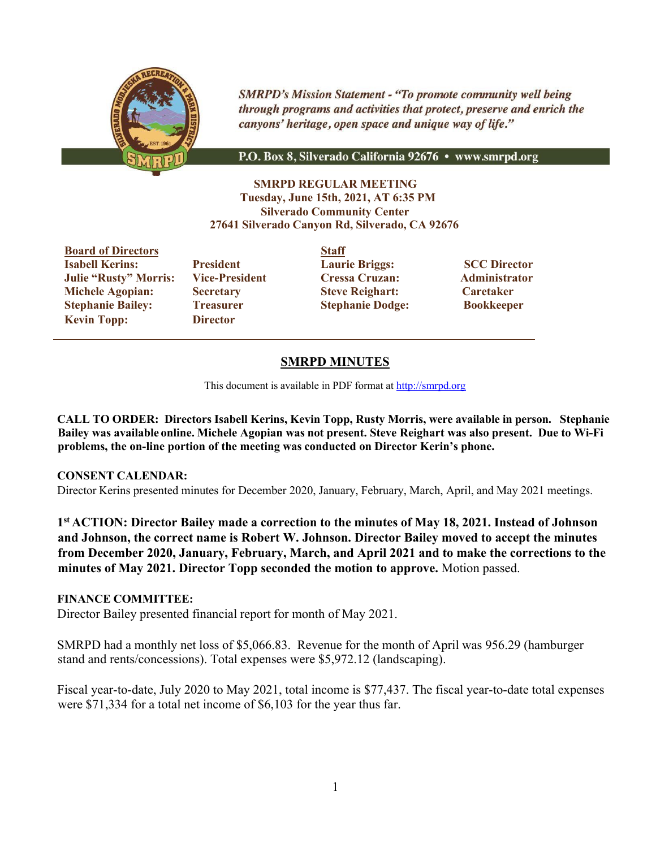

**SMRPD's Mission Statement - "To promote community well being** through programs and activities that protect, preserve and enrich the canyons' heritage, open space and unique way of life."

P.O. Box 8, Silverado California 92676 • www.smrpd.org

**SMRPD REGULAR MEETING Tuesday, June 15th, 2021, AT 6:35 PM Silverado Community Center 27641 Silverado Canyon Rd, Silverado, CA 92676**

**Board of Directors Staff Isabell Kerins: President Laurie Briggs: SCC Director Julie "Rusty" Morris: Vice-President Cressa Cruzan: Administrator Michele Agopian: Secretary Steve Reighart: Caretaker Stephanie Bailey: Treasurer Stephanie Dodge: Bookkeeper Kevin Topp: Director**

## **SMRPD MINUTES**

This document is available in PDF format at http://smrpd.org

**CALL TO ORDER: Directors Isabell Kerins, Kevin Topp, Rusty Morris, were available in person. Stephanie Bailey was available online. Michele Agopian was not present. Steve Reighart was also present. Due to Wi-Fi problems, the on-line portion of the meeting was conducted on Director Kerin's phone.**

#### **CONSENT CALENDAR:**

Director Kerins presented minutes for December 2020, January, February, March, April, and May 2021 meetings.

**1st ACTION: Director Bailey made a correction to the minutes of May 18, 2021. Instead of Johnson and Johnson, the correct name is Robert W. Johnson. Director Bailey moved to accept the minutes from December 2020, January, February, March, and April 2021 and to make the corrections to the minutes of May 2021. Director Topp seconded the motion to approve.** Motion passed.

#### **FINANCE COMMITTEE:**

Director Bailey presented financial report for month of May 2021.

SMRPD had a monthly net loss of \$5,066.83. Revenue for the month of April was 956.29 (hamburger stand and rents/concessions). Total expenses were \$5,972.12 (landscaping).

Fiscal year-to-date, July 2020 to May 2021, total income is \$77,437. The fiscal year-to-date total expenses were \$71,334 for a total net income of \$6,103 for the year thus far.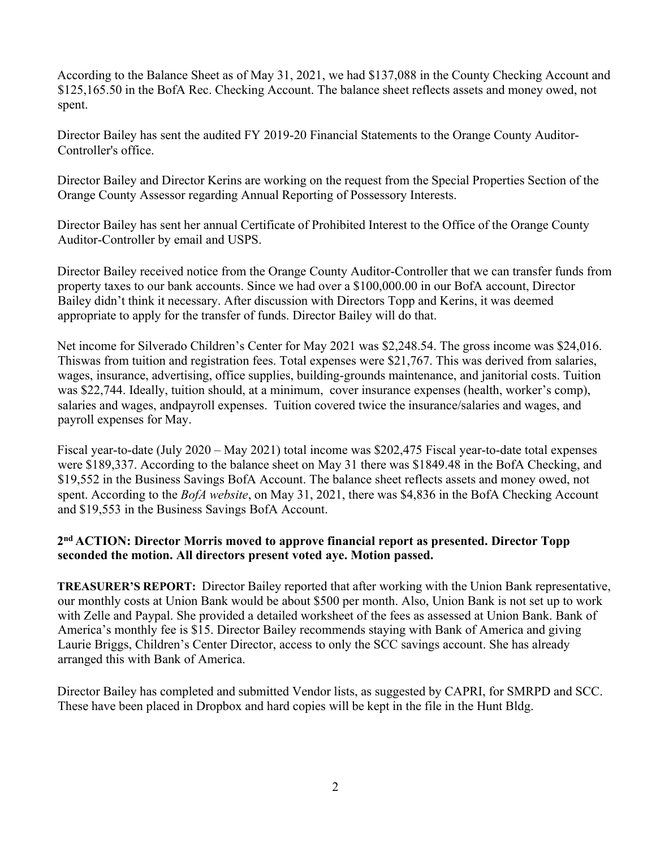According to the Balance Sheet as of May 31, 2021, we had \$137,088 in the County Checking Account and \$125,165.50 in the BofA Rec. Checking Account. The balance sheet reflects assets and money owed, not spent.

Director Bailey has sent the audited FY 2019-20 Financial Statements to the Orange County Auditor-Controller's office.

Director Bailey and Director Kerins are working on the request from the Special Properties Section of the Orange County Assessor regarding Annual Reporting of Possessory Interests.

Director Bailey has sent her annual Certificate of Prohibited Interest to the Office of the Orange County Auditor-Controller by email and USPS.

Director Bailey received notice from the Orange County Auditor-Controller that we can transfer funds from property taxes to our bank accounts. Since we had over a \$100,000.00 in our BofA account, Director Bailey didn't think it necessary. After discussion with Directors Topp and Kerins, it was deemed appropriate to apply for the transfer of funds. Director Bailey will do that.

Net income for Silverado Children's Center for May 2021 was \$2,248.54. The gross income was \$24,016. Thiswas from tuition and registration fees. Total expenses were \$21,767. This was derived from salaries, wages, insurance, advertising, office supplies, building-grounds maintenance, and janitorial costs. Tuition was \$22,744. Ideally, tuition should, at a minimum, cover insurance expenses (health, worker's comp), salaries and wages, andpayroll expenses. Tuition covered twice the insurance/salaries and wages, and payroll expenses for May.

Fiscal year-to-date (July 2020 – May 2021) total income was \$202,475 Fiscal year-to-date total expenses were \$189,337. According to the balance sheet on May 31 there was \$1849.48 in the BofA Checking, and \$19,552 in the Business Savings BofA Account. The balance sheet reflects assets and money owed, not spent. According to the *BofA website*, on May 31, 2021, there was \$4,836 in the BofA Checking Account and \$19,553 in the Business Savings BofA Account.

## **2nd ACTION: Director Morris moved to approve financial report as presented. Director Topp seconded the motion. All directors present voted aye. Motion passed.**

**TREASURER'S REPORT:** Director Bailey reported that after working with the Union Bank representative, our monthly costs at Union Bank would be about \$500 per month. Also, Union Bank is not set up to work with Zelle and Paypal. She provided a detailed worksheet of the fees as assessed at Union Bank. Bank of America's monthly fee is \$15. Director Bailey recommends staying with Bank of America and giving Laurie Briggs, Children's Center Director, access to only the SCC savings account. She has already arranged this with Bank of America.

Director Bailey has completed and submitted Vendor lists, as suggested by CAPRI, for SMRPD and SCC. These have been placed in Dropbox and hard copies will be kept in the file in the Hunt Bldg.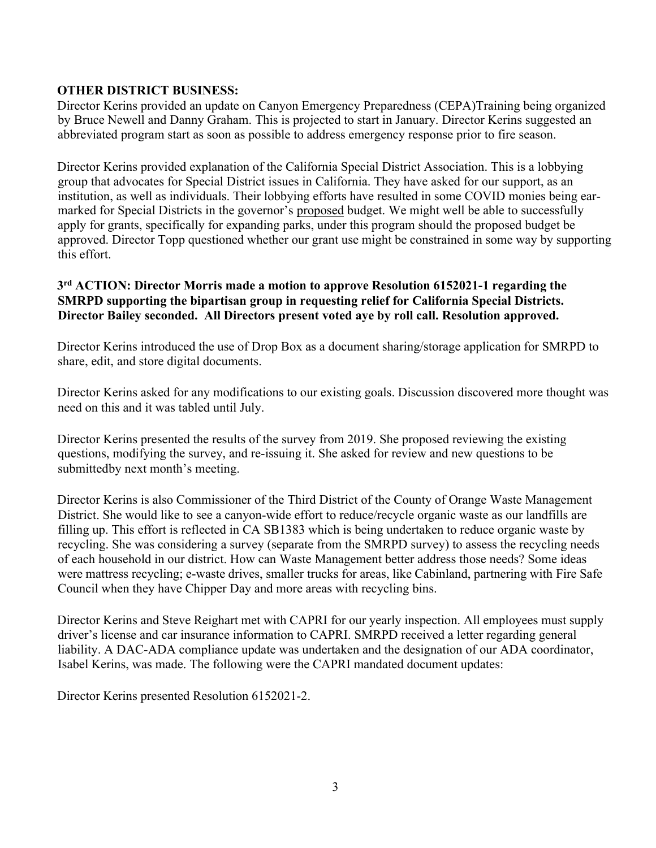## **OTHER DISTRICT BUSINESS:**

Director Kerins provided an update on Canyon Emergency Preparedness (CEPA)Training being organized by Bruce Newell and Danny Graham. This is projected to start in January. Director Kerins suggested an abbreviated program start as soon as possible to address emergency response prior to fire season.

Director Kerins provided explanation of the California Special District Association. This is a lobbying group that advocates for Special District issues in California. They have asked for our support, as an institution, as well as individuals. Their lobbying efforts have resulted in some COVID monies being earmarked for Special Districts in the governor's proposed budget. We might well be able to successfully apply for grants, specifically for expanding parks, under this program should the proposed budget be approved. Director Topp questioned whether our grant use might be constrained in some way by supporting this effort.

## **3rd ACTION: Director Morris made a motion to approve Resolution 6152021-1 regarding the SMRPD supporting the bipartisan group in requesting relief for California Special Districts. Director Bailey seconded. All Directors present voted aye by roll call. Resolution approved.**

Director Kerins introduced the use of Drop Box as a document sharing/storage application for SMRPD to share, edit, and store digital documents.

Director Kerins asked for any modifications to our existing goals. Discussion discovered more thought was need on this and it was tabled until July.

Director Kerins presented the results of the survey from 2019. She proposed reviewing the existing questions, modifying the survey, and re-issuing it. She asked for review and new questions to be submittedby next month's meeting.

Director Kerins is also Commissioner of the Third District of the County of Orange Waste Management District. She would like to see a canyon-wide effort to reduce/recycle organic waste as our landfills are filling up. This effort is reflected in CA SB1383 which is being undertaken to reduce organic waste by recycling. She was considering a survey (separate from the SMRPD survey) to assess the recycling needs of each household in our district. How can Waste Management better address those needs? Some ideas were mattress recycling; e-waste drives, smaller trucks for areas, like Cabinland, partnering with Fire Safe Council when they have Chipper Day and more areas with recycling bins.

Director Kerins and Steve Reighart met with CAPRI for our yearly inspection. All employees must supply driver's license and car insurance information to CAPRI. SMRPD received a letter regarding general liability. A DAC-ADA compliance update was undertaken and the designation of our ADA coordinator, Isabel Kerins, was made. The following were the CAPRI mandated document updates:

Director Kerins presented Resolution 6152021-2.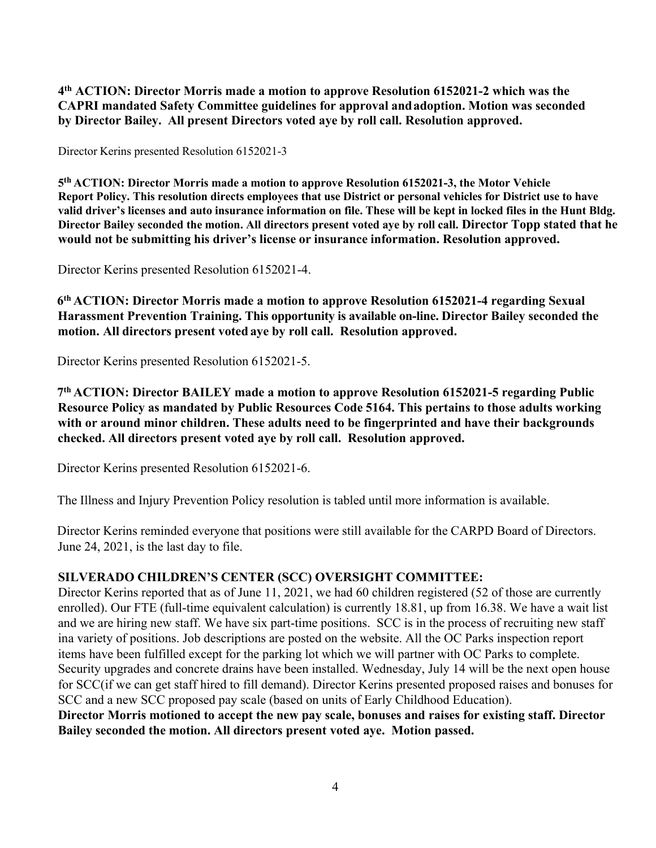**4th ACTION: Director Morris made a motion to approve Resolution 6152021-2 which was the CAPRI mandated Safety Committee guidelines for approval and adoption. Motion was seconded by Director Bailey. All present Directors voted aye by roll call. Resolution approved.**

Director Kerins presented Resolution 6152021-3

**5th ACTION: Director Morris made a motion to approve Resolution 6152021-3, the Motor Vehicle Report Policy. This resolution directs employees that use District or personal vehicles for District use to have valid driver's licenses and auto insurance information on file. These will be kept in locked files in the Hunt Bldg. Director Bailey seconded the motion. All directors present voted aye by roll call. Director Topp stated that he would not be submitting his driver's license or insurance information. Resolution approved.**

Director Kerins presented Resolution 6152021-4.

**6th ACTION: Director Morris made a motion to approve Resolution 6152021-4 regarding Sexual Harassment Prevention Training. This opportunity is available on-line. Director Bailey seconded the motion. All directors present voted aye by roll call. Resolution approved.**

Director Kerins presented Resolution 6152021-5.

**7th ACTION: Director BAILEY made a motion to approve Resolution 6152021-5 regarding Public Resource Policy as mandated by Public Resources Code 5164. This pertains to those adults working with or around minor children. These adults need to be fingerprinted and have their backgrounds checked. All directors present voted aye by roll call. Resolution approved.**

Director Kerins presented Resolution 6152021-6.

The Illness and Injury Prevention Policy resolution is tabled until more information is available.

Director Kerins reminded everyone that positions were still available for the CARPD Board of Directors. June 24, 2021, is the last day to file.

#### **SILVERADO CHILDREN'S CENTER (SCC) OVERSIGHT COMMITTEE:**

Director Kerins reported that as of June 11, 2021, we had 60 children registered (52 of those are currently enrolled). Our FTE (full-time equivalent calculation) is currently 18.81, up from 16.38. We have a wait list and we are hiring new staff. We have six part-time positions. SCC is in the process of recruiting new staff ina variety of positions. Job descriptions are posted on the website. All the OC Parks inspection report items have been fulfilled except for the parking lot which we will partner with OC Parks to complete. Security upgrades and concrete drains have been installed. Wednesday, July 14 will be the next open house for SCC(if we can get staff hired to fill demand). Director Kerins presented proposed raises and bonuses for SCC and a new SCC proposed pay scale (based on units of Early Childhood Education).

**Director Morris motioned to accept the new pay scale, bonuses and raises for existing staff. Director Bailey seconded the motion. All directors present voted aye. Motion passed.**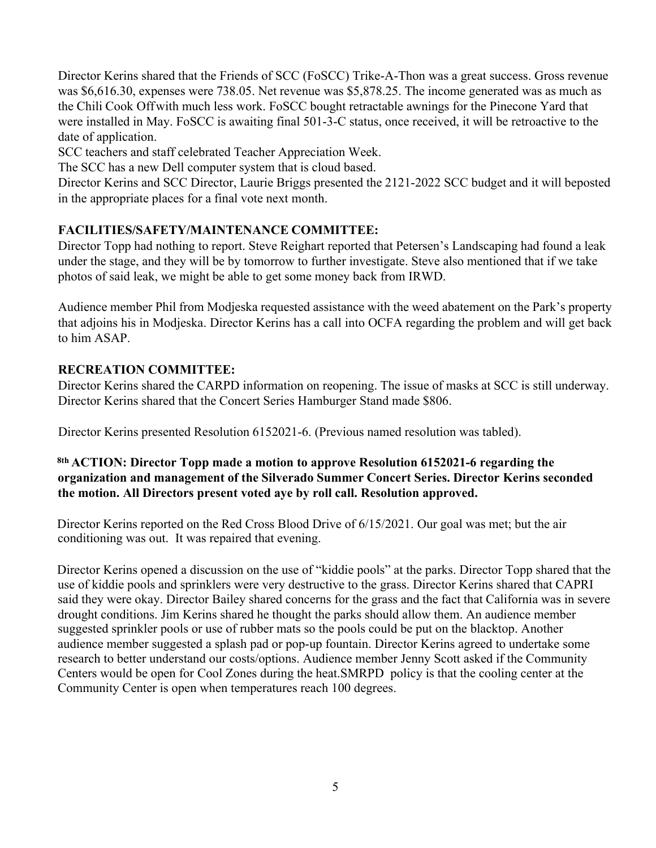Director Kerins shared that the Friends of SCC (FoSCC) Trike-A-Thon was a great success. Gross revenue was \$6,616.30, expenses were 738.05. Net revenue was \$5,878.25. The income generated was as much as the Chili Cook Off with much less work. FoSCC bought retractable awnings for the Pinecone Yard that were installed in May. FoSCC is awaiting final 501-3-C status, once received, it will be retroactive to the date of application.

SCC teachers and staff celebrated Teacher Appreciation Week.

The SCC has a new Dell computer system that is cloud based.

Director Kerins and SCC Director, Laurie Briggs presented the 2121-2022 SCC budget and it will beposted in the appropriate places for a final vote next month.

## **FACILITIES/SAFETY/MAINTENANCE COMMITTEE:**

Director Topp had nothing to report. Steve Reighart reported that Petersen's Landscaping had found a leak under the stage, and they will be by tomorrow to further investigate. Steve also mentioned that if we take photos of said leak, we might be able to get some money back from IRWD.

Audience member Phil from Modjeska requested assistance with the weed abatement on the Park's property that adjoins his in Modjeska. Director Kerins has a call into OCFA regarding the problem and will get back to him ASAP.

## **RECREATION COMMITTEE:**

Director Kerins shared the CARPD information on reopening. The issue of masks at SCC is still underway. Director Kerins shared that the Concert Series Hamburger Stand made \$806.

Director Kerins presented Resolution 6152021-6. (Previous named resolution was tabled).

## **8th ACTION: Director Topp made a motion to approve Resolution 6152021-6 regarding the organization and management of the Silverado Summer Concert Series. Director Kerins seconded the motion. All Directors present voted aye by roll call. Resolution approved.**

Director Kerins reported on the Red Cross Blood Drive of 6/15/2021. Our goal was met; but the air conditioning was out. It was repaired that evening.

Director Kerins opened a discussion on the use of "kiddie pools" at the parks. Director Topp shared that the use of kiddie pools and sprinklers were very destructive to the grass. Director Kerins shared that CAPRI said they were okay. Director Bailey shared concerns for the grass and the fact that California was in severe drought conditions. Jim Kerins shared he thought the parks should allow them. An audience member suggested sprinkler pools or use of rubber mats so the pools could be put on the blacktop. Another audience member suggested a splash pad or pop-up fountain. Director Kerins agreed to undertake some research to better understand our costs/options. Audience member Jenny Scott asked if the Community Centers would be open for Cool Zones during the heat.SMRPD policy is that the cooling center at the Community Center is open when temperatures reach 100 degrees.